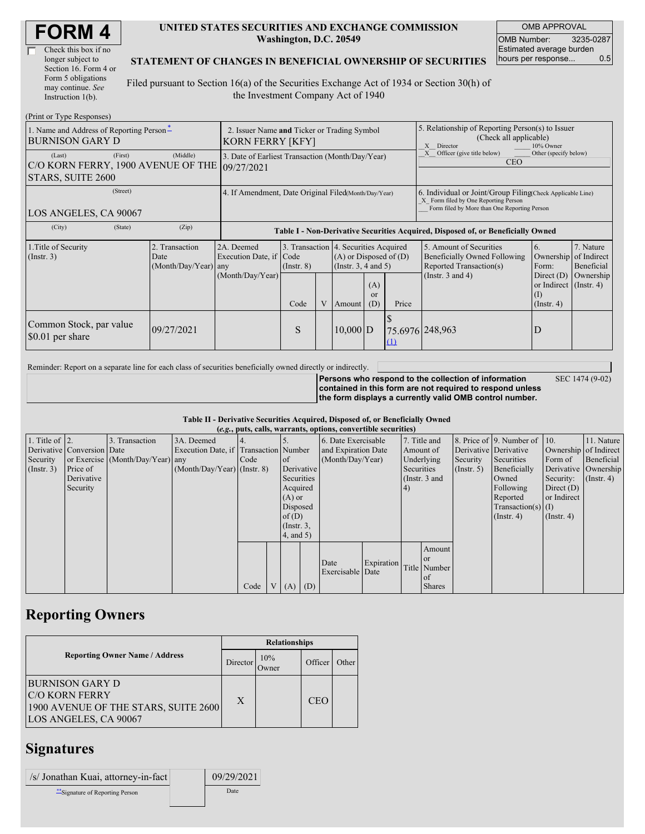| <b>FORM4</b> |
|--------------|
|--------------|

| Check this box if no  |  |
|-----------------------|--|
| longer subject to     |  |
| Section 16. Form 4 or |  |
| Form 5 obligations    |  |
| may continue. See     |  |
| Instruction $1(b)$ .  |  |

#### **UNITED STATES SECURITIES AND EXCHANGE COMMISSION Washington, D.C. 20549**

OMB APPROVAL OMB Number: 3235-0287 Estimated average burden hours per response... 0.5

### **STATEMENT OF CHANGES IN BENEFICIAL OWNERSHIP OF SECURITIES**

Filed pursuant to Section 16(a) of the Securities Exchange Act of 1934 or Section 30(h) of the Investment Company Act of 1940

| (Print or Type Responses)                                                    |                                                                        |                                                                                  |                                 |   |            |                                                                                                                                     |                                                                                                                                                    |                                                                                                             |                                                                                                                  |                                                     |  |
|------------------------------------------------------------------------------|------------------------------------------------------------------------|----------------------------------------------------------------------------------|---------------------------------|---|------------|-------------------------------------------------------------------------------------------------------------------------------------|----------------------------------------------------------------------------------------------------------------------------------------------------|-------------------------------------------------------------------------------------------------------------|------------------------------------------------------------------------------------------------------------------|-----------------------------------------------------|--|
| 1. Name and Address of Reporting Person-<br><b>BURNISON GARY D</b>           | 2. Issuer Name and Ticker or Trading Symbol<br><b>KORN FERRY [KFY]</b> |                                                                                  |                                 |   |            |                                                                                                                                     | 5. Relationship of Reporting Person(s) to Issuer<br>(Check all applicable)<br>10% Owner<br>$\mathbf{X}$<br>Director                                |                                                                                                             |                                                                                                                  |                                                     |  |
| (First)<br>(Last)<br>C/O KORN FERRY, 1900 AVENUE OF THE<br>STARS, SUITE 2600 | (Middle)                                                               | 3. Date of Earliest Transaction (Month/Day/Year)<br>09/27/2021                   |                                 |   |            |                                                                                                                                     |                                                                                                                                                    | Officer (give title below)<br>Other (specify below)<br><b>CEO</b>                                           |                                                                                                                  |                                                     |  |
| (Street)<br>LOS ANGELES, CA 90067                                            | 4. If Amendment, Date Original Filed(Month/Day/Year)                   |                                                                                  |                                 |   |            |                                                                                                                                     | 6. Individual or Joint/Group Filing Check Applicable Line)<br>X Form filed by One Reporting Person<br>Form filed by More than One Reporting Person |                                                                                                             |                                                                                                                  |                                                     |  |
| (City)<br>(State)                                                            | (Zip)                                                                  | Table I - Non-Derivative Securities Acquired, Disposed of, or Beneficially Owned |                                 |   |            |                                                                                                                                     |                                                                                                                                                    |                                                                                                             |                                                                                                                  |                                                     |  |
| 1. Title of Security<br>(Insert. 3)                                          | 2. Transaction<br>Date<br>(Month/Day/Year) any                         | 2A. Deemed<br>Execution Date, if<br>(Month/Day/Year)                             | Code<br>$($ Instr. $8)$<br>Code | V | Amount     | 3. Transaction 4. Securities Acquired<br>$(A)$ or Disposed of $(D)$<br>(Insert. 3, 4 and 5)<br>(A)<br><sub>or</sub><br>Price<br>(D) |                                                                                                                                                    | 5. Amount of Securities<br>Beneficially Owned Following<br>Reported Transaction(s)<br>(Instr. $3$ and $4$ ) | 6.<br>Ownership<br>Form:<br>Direct $(D)$<br>or Indirect $($ Instr. 4 $)$<br>$\left(1\right)$<br>$($ Instr. 4 $)$ | 7. Nature<br>of Indirect<br>Beneficial<br>Ownership |  |
| Common Stock, par value<br>\$0.01 per share                                  | 09/27/2021                                                             |                                                                                  | S                               |   | $10,000$ D |                                                                                                                                     | 75.6976 248,963<br>$\left(1\right)$                                                                                                                |                                                                                                             | D                                                                                                                |                                                     |  |

Reminder: Report on a separate line for each class of securities beneficially owned directly or indirectly.

**Persons who respond to the collection of information contained in this form are not required to respond unless the form displays a currently valid OMB control number.** SEC 1474 (9-02)

#### **Table II - Derivative Securities Acquired, Disposed of, or Beneficially Owned (***e.g.***, puts, calls, warrants, options, convertible securities)**

|                        | $(c, \zeta, \mu, \zeta)$ cans, warrants, options, convertible securities) |                                  |                                       |      |  |                 |            |                                     |            |    |               |                              |                      |                       |               |          |                      |         |            |
|------------------------|---------------------------------------------------------------------------|----------------------------------|---------------------------------------|------|--|-----------------|------------|-------------------------------------|------------|----|---------------|------------------------------|----------------------|-----------------------|---------------|----------|----------------------|---------|------------|
| 1. Title of $\vert$ 2. |                                                                           | 3. Transaction                   | 3A. Deemed                            |      |  |                 |            | 7. Title and<br>6. Date Exercisable |            |    |               | 8. Price of 9. Number of 10. |                      | 11. Nature            |               |          |                      |         |            |
|                        | Derivative Conversion Date                                                |                                  | Execution Date, if Transaction Number |      |  |                 |            | and Expiration Date                 |            |    | Amount of     | Derivative Derivative        |                      | Ownership of Indirect |               |          |                      |         |            |
| Security               |                                                                           | or Exercise (Month/Day/Year) any |                                       | Code |  | of              |            | (Month/Day/Year)                    |            |    |               |                              |                      |                       | Underlying    | Security | Securities           | Form of | Beneficial |
| (Insert. 3)            | Price of                                                                  |                                  | $(Month/Day/Year)$ (Instr. 8)         |      |  |                 | Derivative |                                     |            |    |               | Securities                   |                      | $($ Instr. 5)         | Beneficially  |          | Derivative Ownership |         |            |
|                        | Derivative                                                                |                                  |                                       |      |  | Securities      |            |                                     |            |    | (Instr. 3 and |                              | Owned                | Security:             | $($ Instr. 4) |          |                      |         |            |
|                        | Security                                                                  |                                  |                                       |      |  | Acquired        |            |                                     |            | 4) |               |                              | Following            | Direct $(D)$          |               |          |                      |         |            |
|                        |                                                                           |                                  |                                       |      |  | $(A)$ or        |            |                                     |            |    |               |                              | Reported             | or Indirect           |               |          |                      |         |            |
|                        |                                                                           |                                  |                                       |      |  | Disposed        |            |                                     |            |    |               |                              | $Transaction(s)$ (I) |                       |               |          |                      |         |            |
|                        |                                                                           |                                  |                                       |      |  | of $(D)$        |            |                                     |            |    |               |                              | $($ Instr. 4)        | $($ Instr. 4 $)$      |               |          |                      |         |            |
|                        |                                                                           |                                  |                                       |      |  | $($ Instr. 3,   |            |                                     |            |    |               |                              |                      |                       |               |          |                      |         |            |
|                        |                                                                           |                                  |                                       |      |  | $4$ , and $5$ ) |            |                                     |            |    |               |                              |                      |                       |               |          |                      |         |            |
|                        |                                                                           |                                  |                                       |      |  |                 |            |                                     |            |    | Amount        |                              |                      |                       |               |          |                      |         |            |
|                        |                                                                           |                                  |                                       |      |  |                 |            | Date                                | Expiration |    | <sub>or</sub> |                              |                      |                       |               |          |                      |         |            |
|                        |                                                                           |                                  |                                       |      |  |                 |            | Exercisable Date                    |            |    | Title Number  |                              |                      |                       |               |          |                      |         |            |
|                        |                                                                           |                                  |                                       |      |  |                 |            |                                     |            |    | $\alpha$ f    |                              |                      |                       |               |          |                      |         |            |
|                        |                                                                           |                                  |                                       | Code |  | V(A)            | (D)        |                                     |            |    | <b>Shares</b> |                              |                      |                       |               |          |                      |         |            |

## **Reporting Owners**

|                                                                                                                  | <b>Relationships</b> |               |            |       |  |  |  |
|------------------------------------------------------------------------------------------------------------------|----------------------|---------------|------------|-------|--|--|--|
| <b>Reporting Owner Name / Address</b>                                                                            | Director             | 10%<br>Dwner: | Officer    | Other |  |  |  |
| <b>BURNISON GARY D</b><br><b>C/O KORN FERRY</b><br>1900 AVENUE OF THE STARS, SUITE 2600<br>LOS ANGELES, CA 90067 | X                    |               | <b>CEO</b> |       |  |  |  |

## **Signatures**

| /s/ Jonathan Kuai, attorney-in-fact | 09/29/2021 |
|-------------------------------------|------------|
| **Signature of Reporting Person     | Date       |